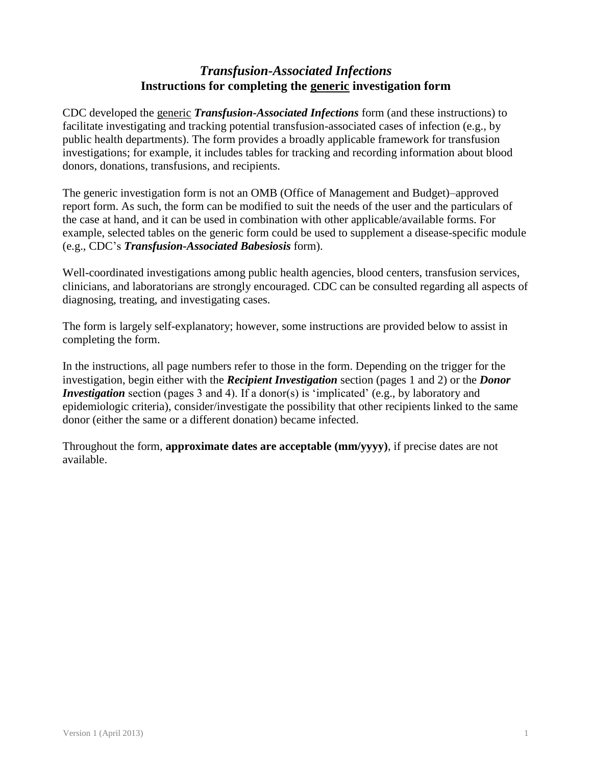# *Transfusion-Associated Infections* **Instructions for completing the generic investigation form**

CDC developed the generic *Transfusion-Associated Infections* form (and these instructions) to facilitate investigating and tracking potential transfusion-associated cases of infection (e.g., by public health departments). The form provides a broadly applicable framework for transfusion investigations; for example, it includes tables for tracking and recording information about blood donors, donations, transfusions, and recipients.

The generic investigation form is not an OMB (Office of Management and Budget)–approved report form. As such, the form can be modified to suit the needs of the user and the particulars of the case at hand, and it can be used in combination with other applicable/available forms. For example, selected tables on the generic form could be used to supplement a disease-specific module (e.g., CDC's *Transfusion-Associated Babesiosis* form).

Well-coordinated investigations among public health agencies, blood centers, transfusion services, clinicians, and laboratorians are strongly encouraged. CDC can be consulted regarding all aspects of diagnosing, treating, and investigating cases.

The form is largely self-explanatory; however, some instructions are provided below to assist in completing the form.

In the instructions, all page numbers refer to those in the form. Depending on the trigger for the investigation, begin either with the *Recipient Investigation* section (pages 1 and 2) or the *Donor Investigation* section (pages 3 and 4). If a donor(s) is 'implicated' (e.g., by laboratory and epidemiologic criteria), consider/investigate the possibility that other recipients linked to the same donor (either the same or a different donation) became infected.

Throughout the form, **approximate dates are acceptable (mm/yyyy)**, if precise dates are not available.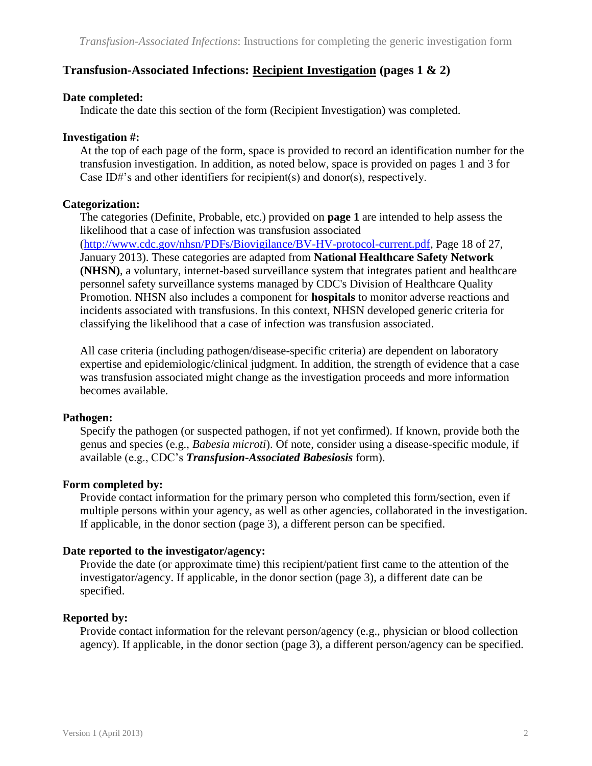# **Transfusion-Associated Infections: Recipient Investigation (pages 1 & 2)**

## **Date completed:**

Indicate the date this section of the form (Recipient Investigation) was completed.

## **Investigation #:**

At the top of each page of the form, space is provided to record an identification number for the transfusion investigation. In addition, as noted below, space is provided on pages 1 and 3 for Case ID#'s and other identifiers for recipient(s) and donor(s), respectively.

# **Categorization:**

The categories (Definite, Probable, etc.) provided on **page 1** are intended to help assess the likelihood that a case of infection was transfusion associated [\(http://www.cdc.gov/nhsn/PDFs/Biovigilance/BV-HV-protocol-current.pdf,](http://www.cdc.gov/nhsn/PDFs/Biovigilance/BV-HV-protocol-current.pdf) Page 18 of 27, January 2013). These categories are adapted from **National Healthcare Safety Network (NHSN)**, a voluntary, internet-based surveillance system that integrates patient and healthcare personnel safety surveillance systems managed by CDC's Division of Healthcare Quality Promotion. NHSN also includes a component for **hospitals** to monitor adverse reactions and incidents associated with transfusions. In this context, NHSN developed generic criteria for classifying the likelihood that a case of infection was transfusion associated.

All case criteria (including pathogen/disease-specific criteria) are dependent on laboratory expertise and epidemiologic/clinical judgment. In addition, the strength of evidence that a case was transfusion associated might change as the investigation proceeds and more information becomes available.

# **Pathogen:**

Specify the pathogen (or suspected pathogen, if not yet confirmed). If known, provide both the genus and species (e.g., *Babesia microti*). Of note, consider using a disease-specific module, if available (e.g., CDC's *Transfusion-Associated Babesiosis* form).

# **Form completed by:**

Provide contact information for the primary person who completed this form/section, even if multiple persons within your agency, as well as other agencies, collaborated in the investigation. If applicable, in the donor section (page 3), a different person can be specified.

# **Date reported to the investigator/agency:**

Provide the date (or approximate time) this recipient/patient first came to the attention of the investigator/agency. If applicable, in the donor section (page 3), a different date can be specified.

# **Reported by:**

Provide contact information for the relevant person/agency (e.g., physician or blood collection agency). If applicable, in the donor section (page 3), a different person/agency can be specified.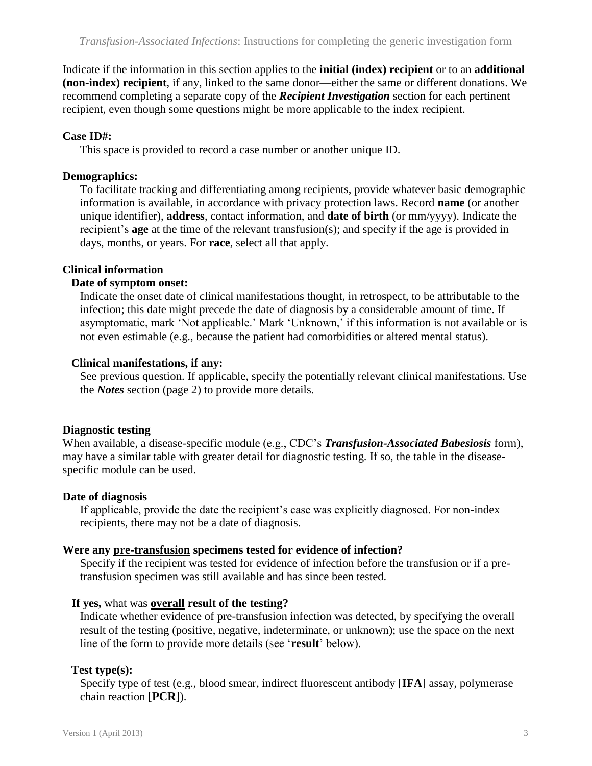Indicate if the information in this section applies to the **initial (index) recipient** or to an **additional (non-index) recipient**, if any, linked to the same donor—either the same or different donations. We recommend completing a separate copy of the *Recipient Investigation* section for each pertinent recipient, even though some questions might be more applicable to the index recipient.

# **Case ID#:**

This space is provided to record a case number or another unique ID.

# **Demographics:**

To facilitate tracking and differentiating among recipients, provide whatever basic demographic information is available, in accordance with privacy protection laws. Record **name** (or another unique identifier), **address**, contact information, and **date of birth** (or mm/yyyy). Indicate the recipient's **age** at the time of the relevant transfusion(s); and specify if the age is provided in days, months, or years. For **race**, select all that apply.

# **Clinical information**

# **Date of symptom onset:**

Indicate the onset date of clinical manifestations thought, in retrospect, to be attributable to the infection; this date might precede the date of diagnosis by a considerable amount of time. If asymptomatic, mark 'Not applicable.' Mark 'Unknown,' if this information is not available or is not even estimable (e.g., because the patient had comorbidities or altered mental status).

# **Clinical manifestations, if any:**

See previous question. If applicable, specify the potentially relevant clinical manifestations. Use the *Notes* section (page 2) to provide more details.

# **Diagnostic testing**

When available, a disease-specific module (e.g., CDC's *Transfusion-Associated Babesiosis* form), may have a similar table with greater detail for diagnostic testing. If so, the table in the diseasespecific module can be used.

# **Date of diagnosis**

If applicable, provide the date the recipient's case was explicitly diagnosed. For non-index recipients, there may not be a date of diagnosis.

# **Were any pre-transfusion specimens tested for evidence of infection?**

Specify if the recipient was tested for evidence of infection before the transfusion or if a pretransfusion specimen was still available and has since been tested.

# **If yes,** what was **overall result of the testing?**

Indicate whether evidence of pre-transfusion infection was detected, by specifying the overall result of the testing (positive, negative, indeterminate, or unknown); use the space on the next line of the form to provide more details (see '**result**' below).

# **Test type(s):**

Specify type of test (e.g., blood smear, indirect fluorescent antibody [**IFA**] assay, polymerase chain reaction [**PCR**]).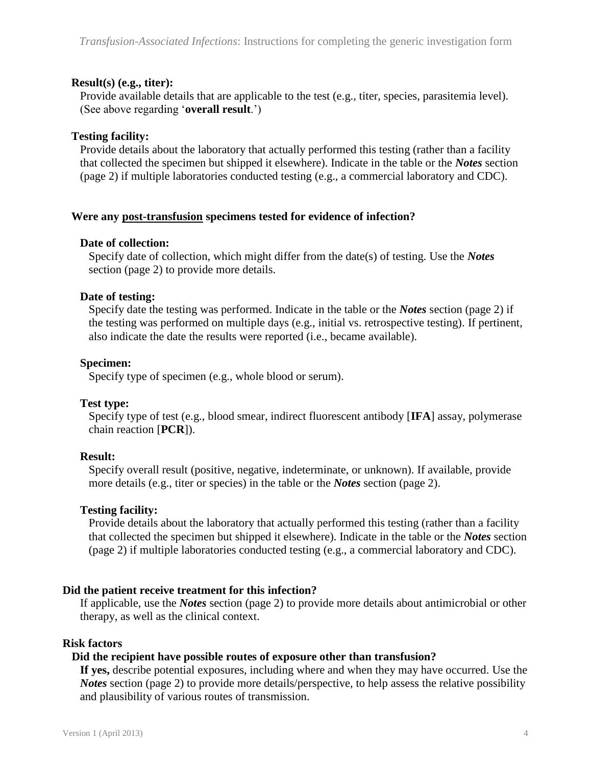## **Result(s) (e.g., titer):**

Provide available details that are applicable to the test (e.g., titer, species, parasitemia level). (See above regarding '**overall result**.')

## **Testing facility:**

Provide details about the laboratory that actually performed this testing (rather than a facility that collected the specimen but shipped it elsewhere). Indicate in the table or the *Notes* section (page 2) if multiple laboratories conducted testing (e.g., a commercial laboratory and CDC).

### **Were any post-transfusion specimens tested for evidence of infection?**

### **Date of collection:**

Specify date of collection, which might differ from the date(s) of testing. Use the *Notes* section (page 2) to provide more details.

## **Date of testing:**

Specify date the testing was performed. Indicate in the table or the *Notes* section (page 2) if the testing was performed on multiple days (e.g., initial vs. retrospective testing). If pertinent, also indicate the date the results were reported (i.e., became available).

## **Specimen:**

Specify type of specimen (e.g., whole blood or serum).

### **Test type:**

Specify type of test (e.g., blood smear, indirect fluorescent antibody [**IFA**] assay, polymerase chain reaction [**PCR**]).

# **Result:**

Specify overall result (positive, negative, indeterminate, or unknown). If available, provide more details (e.g., titer or species) in the table or the *Notes* section (page 2).

# **Testing facility:**

Provide details about the laboratory that actually performed this testing (rather than a facility that collected the specimen but shipped it elsewhere). Indicate in the table or the *Notes* section (page 2) if multiple laboratories conducted testing (e.g., a commercial laboratory and CDC).

# **Did the patient receive treatment for this infection?**

If applicable, use the *Notes* section (page 2) to provide more details about antimicrobial or other therapy, as well as the clinical context.

### **Risk factors**

### **Did the recipient have possible routes of exposure other than transfusion?**

**If yes,** describe potential exposures, including where and when they may have occurred. Use the *Notes* section (page 2) to provide more details/perspective, to help assess the relative possibility and plausibility of various routes of transmission.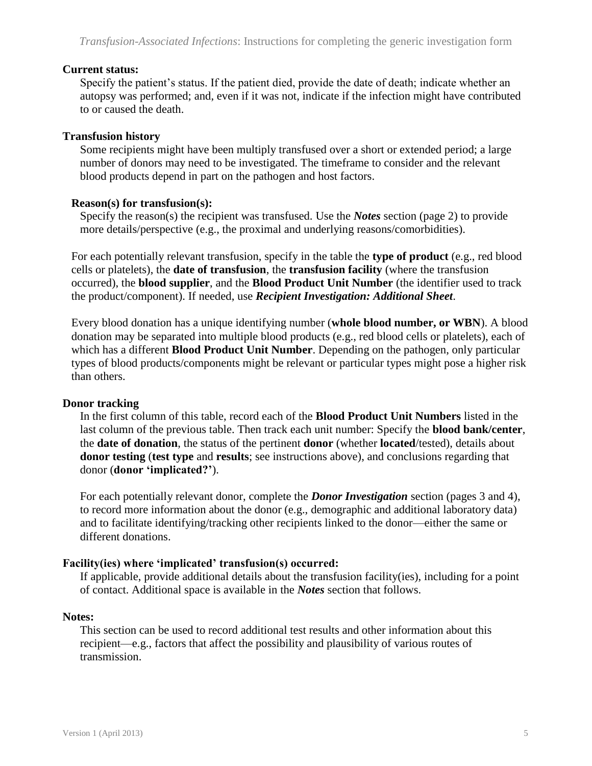## **Current status:**

Specify the patient's status. If the patient died, provide the date of death; indicate whether an autopsy was performed; and, even if it was not, indicate if the infection might have contributed to or caused the death.

# **Transfusion history**

Some recipients might have been multiply transfused over a short or extended period; a large number of donors may need to be investigated. The timeframe to consider and the relevant blood products depend in part on the pathogen and host factors.

# **Reason(s) for transfusion(s):**

Specify the reason(s) the recipient was transfused. Use the *Notes* section (page 2) to provide more details/perspective (e.g., the proximal and underlying reasons/comorbidities).

For each potentially relevant transfusion, specify in the table the **type of product** (e.g., red blood cells or platelets), the **date of transfusion**, the **transfusion facility** (where the transfusion occurred), the **blood supplier**, and the **Blood Product Unit Number** (the identifier used to track the product/component). If needed, use *Recipient Investigation: Additional Sheet*.

Every blood donation has a unique identifying number (**whole blood number, or WBN**). A blood donation may be separated into multiple blood products (e.g., red blood cells or platelets), each of which has a different **Blood Product Unit Number**. Depending on the pathogen, only particular types of blood products/components might be relevant or particular types might pose a higher risk than others.

### **Donor tracking**

In the first column of this table, record each of the **Blood Product Unit Numbers** listed in the last column of the previous table. Then track each unit number: Specify the **blood bank/center**, the **date of donation**, the status of the pertinent **donor** (whether **located**/tested), details about **donor testing** (**test type** and **results**; see instructions above), and conclusions regarding that donor (**donor 'implicated?'**).

For each potentially relevant donor, complete the *Donor Investigation* section (pages 3 and 4), to record more information about the donor (e.g., demographic and additional laboratory data) and to facilitate identifying/tracking other recipients linked to the donor—either the same or different donations.

# **Facility(ies) where 'implicated' transfusion(s) occurred:**

If applicable, provide additional details about the transfusion facility(ies), including for a point of contact. Additional space is available in the *Notes* section that follows.

## **Notes:**

This section can be used to record additional test results and other information about this recipient—e.g., factors that affect the possibility and plausibility of various routes of transmission.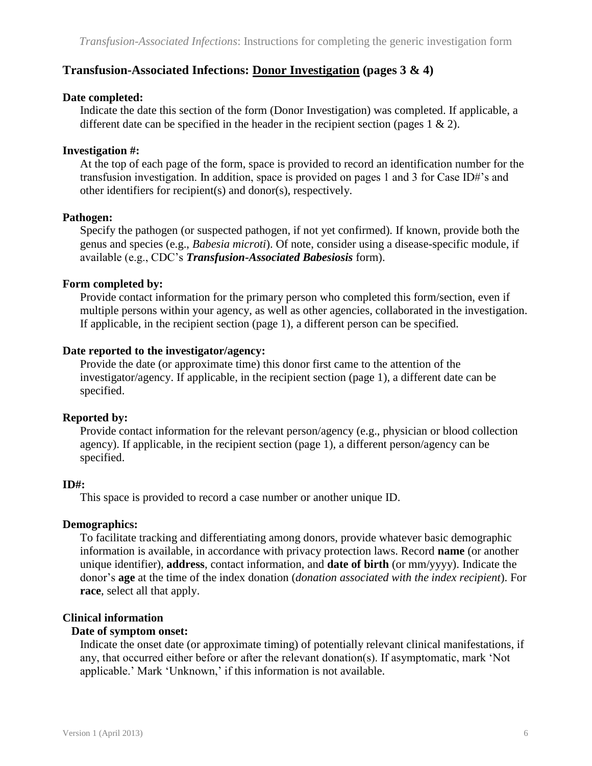# **Transfusion-Associated Infections: Donor Investigation (pages 3 & 4)**

## **Date completed:**

Indicate the date this section of the form (Donor Investigation) was completed. If applicable, a different date can be specified in the header in the recipient section (pages  $1 \& 2$ ).

# **Investigation #:**

At the top of each page of the form, space is provided to record an identification number for the transfusion investigation. In addition, space is provided on pages 1 and 3 for Case ID#'s and other identifiers for recipient(s) and donor(s), respectively.

# **Pathogen:**

Specify the pathogen (or suspected pathogen, if not yet confirmed). If known, provide both the genus and species (e.g., *Babesia microti*). Of note, consider using a disease-specific module, if available (e.g., CDC's *Transfusion-Associated Babesiosis* form).

# **Form completed by:**

Provide contact information for the primary person who completed this form/section, even if multiple persons within your agency, as well as other agencies, collaborated in the investigation. If applicable, in the recipient section (page 1), a different person can be specified.

# **Date reported to the investigator/agency:**

Provide the date (or approximate time) this donor first came to the attention of the investigator/agency. If applicable, in the recipient section (page 1), a different date can be specified.

# **Reported by:**

Provide contact information for the relevant person/agency (e.g., physician or blood collection agency). If applicable, in the recipient section (page 1), a different person/agency can be specified.

# **ID#:**

This space is provided to record a case number or another unique ID.

# **Demographics:**

To facilitate tracking and differentiating among donors, provide whatever basic demographic information is available, in accordance with privacy protection laws. Record **name** (or another unique identifier), **address**, contact information, and **date of birth** (or mm/yyyy). Indicate the donor's **age** at the time of the index donation (*donation associated with the index recipient*). For **race**, select all that apply.

# **Clinical information**

## **Date of symptom onset:**

Indicate the onset date (or approximate timing) of potentially relevant clinical manifestations, if any, that occurred either before or after the relevant donation(s). If asymptomatic, mark 'Not applicable.' Mark 'Unknown,' if this information is not available.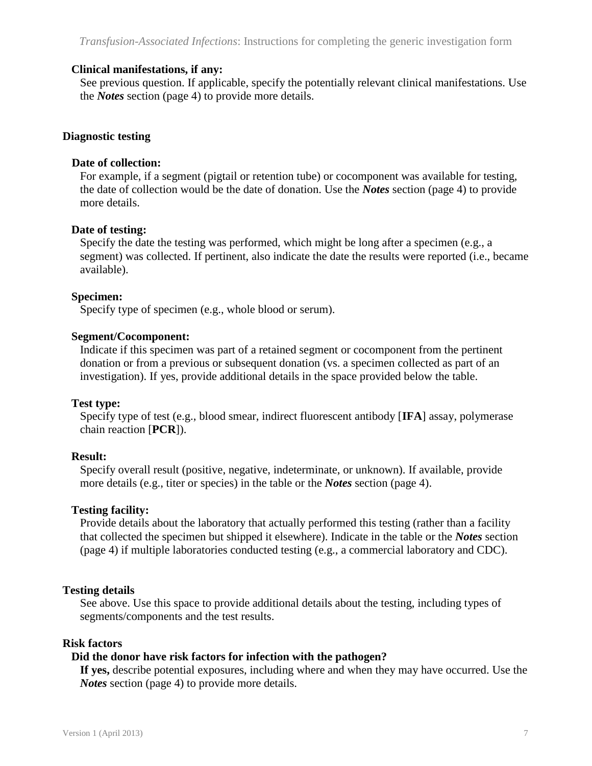## **Clinical manifestations, if any:**

See previous question. If applicable, specify the potentially relevant clinical manifestations. Use the *Notes* section (page 4) to provide more details.

## **Diagnostic testing**

### **Date of collection:**

For example, if a segment (pigtail or retention tube) or cocomponent was available for testing, the date of collection would be the date of donation. Use the *Notes* section (page 4) to provide more details.

## **Date of testing:**

Specify the date the testing was performed, which might be long after a specimen (e.g., a segment) was collected. If pertinent, also indicate the date the results were reported (i.e., became available).

## **Specimen:**

Specify type of specimen (e.g., whole blood or serum).

## **Segment/Cocomponent:**

Indicate if this specimen was part of a retained segment or cocomponent from the pertinent donation or from a previous or subsequent donation (vs. a specimen collected as part of an investigation). If yes, provide additional details in the space provided below the table.

### **Test type:**

Specify type of test (e.g., blood smear, indirect fluorescent antibody [**IFA**] assay, polymerase chain reaction [**PCR**]).

# **Result:**

Specify overall result (positive, negative, indeterminate, or unknown). If available, provide more details (e.g., titer or species) in the table or the *Notes* section (page 4).

### **Testing facility:**

Provide details about the laboratory that actually performed this testing (rather than a facility that collected the specimen but shipped it elsewhere). Indicate in the table or the *Notes* section (page 4) if multiple laboratories conducted testing (e.g., a commercial laboratory and CDC).

# **Testing details**

See above. Use this space to provide additional details about the testing, including types of segments/components and the test results.

### **Risk factors**

### **Did the donor have risk factors for infection with the pathogen?**

**If yes,** describe potential exposures, including where and when they may have occurred. Use the *Notes* section (page 4) to provide more details.